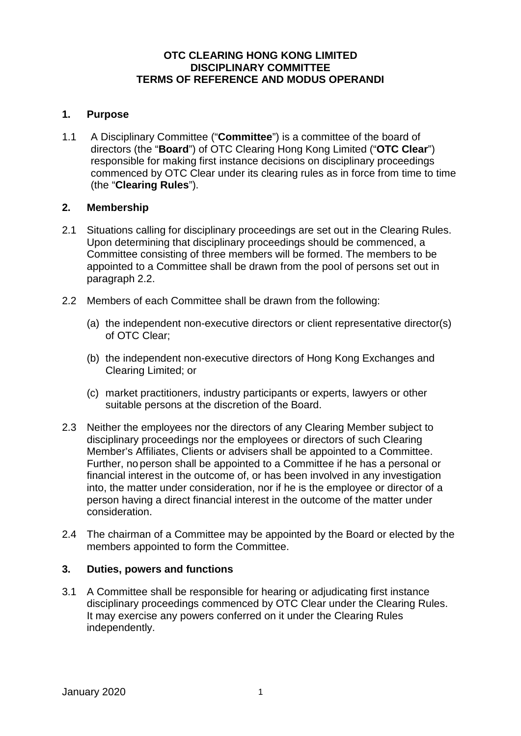## **OTC CLEARING HONG KONG LIMITED DISCIPLINARY COMMITTEE TERMS OF REFERENCE AND MODUS OPERANDI**

## **1. Purpose**

1.1 A Disciplinary Committee ("**Committee**") is a committee of the board of directors (the "**Board**") of OTC Clearing Hong Kong Limited ("**OTC Clear**") responsible for making first instance decisions on disciplinary proceedings commenced by OTC Clear under its clearing rules as in force from time to time (the "**Clearing Rules**").

#### **2. Membership**

- 2.1 Situations calling for disciplinary proceedings are set out in the Clearing Rules. Upon determining that disciplinary proceedings should be commenced, a Committee consisting of three members will be formed. The members to be appointed to a Committee shall be drawn from the pool of persons set out in paragraph 2.2.
- 2.2 Members of each Committee shall be drawn from the following:
	- (a) the independent non-executive directors or client representative director(s) of OTC Clear;
	- (b) the independent non-executive directors of Hong Kong Exchanges and Clearing Limited; or
	- (c) market practitioners, industry participants or experts, lawyers or other suitable persons at the discretion of the Board.
- 2.3 Neither the employees nor the directors of any Clearing Member subject to disciplinary proceedings nor the employees or directors of such Clearing Member's Affiliates, Clients or advisers shall be appointed to a Committee. Further, no person shall be appointed to a Committee if he has a personal or financial interest in the outcome of, or has been involved in any investigation into, the matter under consideration, nor if he is the employee or director of a person having a direct financial interest in the outcome of the matter under consideration.
- 2.4 The chairman of a Committee may be appointed by the Board or elected by the members appointed to form the Committee.

# **3. Duties, powers and functions**

3.1 A Committee shall be responsible for hearing or adjudicating first instance disciplinary proceedings commenced by OTC Clear under the Clearing Rules. It may exercise any powers conferred on it under the Clearing Rules independently.